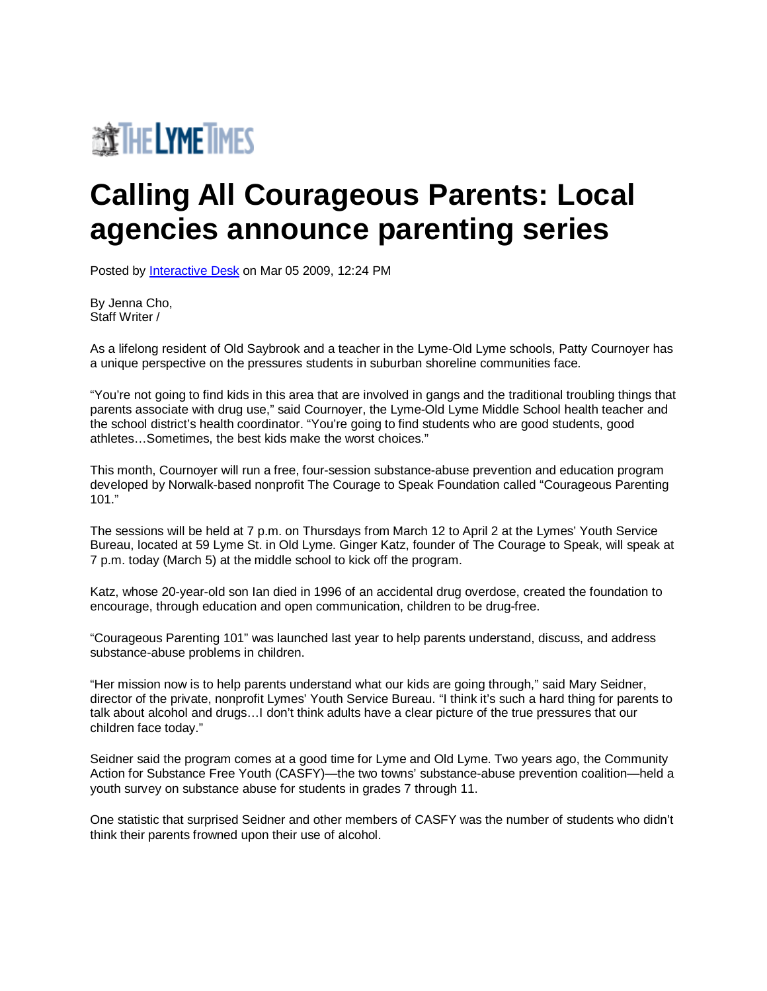

## **Calling All Courageous Parents: Local agencies announce parenting series**

Posted by [Interactive Desk](http://zip06.theday.com/members/Interactive-Desk.aspx) on Mar 05 2009, 12:24 PM

By Jenna Cho, Staff Writer /

As a lifelong resident of Old Saybrook and a teacher in the Lyme-Old Lyme schools, Patty Cournoyer has a unique perspective on the pressures students in suburban shoreline communities face.

"You're not going to find kids in this area that are involved in gangs and the traditional troubling things that parents associate with drug use," said Cournoyer, the Lyme-Old Lyme Middle School health teacher and the school district's health coordinator. "You're going to find students who are good students, good athletes…Sometimes, the best kids make the worst choices."

This month, Cournoyer will run a free, four-session substance-abuse prevention and education program developed by Norwalk-based nonprofit The Courage to Speak Foundation called "Courageous Parenting 101."

The sessions will be held at 7 p.m. on Thursdays from March 12 to April 2 at the Lymes' Youth Service Bureau, located at 59 Lyme St. in Old Lyme. Ginger Katz, founder of The Courage to Speak, will speak at 7 p.m. today (March 5) at the middle school to kick off the program.

Katz, whose 20-year-old son Ian died in 1996 of an accidental drug overdose, created the foundation to encourage, through education and open communication, children to be drug-free.

"Courageous Parenting 101" was launched last year to help parents understand, discuss, and address substance-abuse problems in children.

"Her mission now is to help parents understand what our kids are going through," said Mary Seidner, director of the private, nonprofit Lymes' Youth Service Bureau. "I think it's such a hard thing for parents to talk about alcohol and drugs…I don't think adults have a clear picture of the true pressures that our children face today."

Seidner said the program comes at a good time for Lyme and Old Lyme. Two years ago, the Community Action for Substance Free Youth (CASFY)—the two towns' substance-abuse prevention coalition—held a youth survey on substance abuse for students in grades 7 through 11.

One statistic that surprised Seidner and other members of CASFY was the number of students who didn't think their parents frowned upon their use of alcohol.